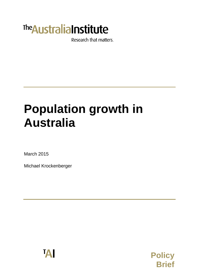

Research that matters.

# **Population growth in Australia**

March 2015

Michael Krockenberger



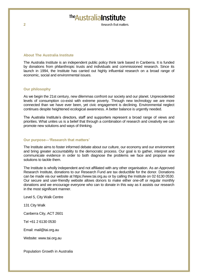## **The Australia Institute**

Research that matters

#### **About The Australia Institute**

The Australia Institute is an independent public policy think tank based in Canberra. It is funded by donations from philanthropic trusts and individuals and commissioned research. Since its launch in 1994, the Institute has carried out highly influential research on a broad range of economic, social and environmental issues.

#### **Our philosophy**

As we begin the 21st century, new dilemmas confront our society and our planet. Unprecedented levels of consumption co-exist with extreme poverty. Through new technology we are more connected than we have ever been, yet civic engagement is declining. Environmental neglect continues despite heightened ecological awareness. A better balance is urgently needed.

The Australia Institute's directors, staff and supporters represent a broad range of views and priorities. What unites us is a belief that through a combination of research and creativity we can promote new solutions and ways of thinking.

#### **Our purpose—'Research that matters'**

The Institute aims to foster informed debate about our culture, our economy and our environment and bring greater accountability to the democratic process. Our goal is to gather, interpret and communicate evidence in order to both diagnose the problems we face and propose new solutions to tackle them.

The Institute is wholly independent and not affiliated with any other organisation. As an Approved Research Institute, donations to our Research Fund are tax deductible for the donor. Donations can be made via our website at https://www.tai.org.au or by calling the Institute on 02 6130 0530. Our secure and user-friendly website allows donors to make either one-off or regular monthly donations and we encourage everyone who can to donate in this way as it assists our research in the most significant manner.

Level 5, City Walk Centre

131 City Walk

Canberra City, ACT 2601

Tel +61 2 6130 0530

Email: mail@tai.org.au

Website: www.tai.org.au

Population Growth in Australia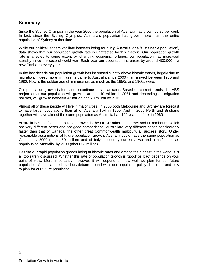## **Summary**

Since the Sydney Olympics in the year 2000 the population of Australia has grown by 25 per cent. In fact, since the Sydney Olympics, Australia's population has grown more than the entire population of Sydney at that time.

While our political leaders vacillate between being for a 'big Australia' or a 'sustainable population', data shows that our population growth rate is unaffected by this rhetoric. Our population growth rate is affected to some extent by changing economic fortunes, our population has increased steadily since the second world war. Each year our population increases by around 400,000 – a new Canberra every year.

In the last decade our population growth has increased slightly above historic trends, largely due to migration. Indeed more immigrants came to Australia since 2000 than arrived between 1950 and 1980. Now is the golden age of immigration, as much as the 1950s and 1960s were.

Our population growth is forecast to continue at similar rates. Based on current trends, the ABS projects that our population will grow to around 40 million in 2061 and depending on migration policies, will grow to between 42 million and 70 million by 2101.

Almost all of these people will live in major cities. In 2060 both Melbourne and Sydney are forecast to have larger populations than all of Australia had in 1950. And in 2060 Perth and Brisbane together will have almost the same population as Australia had 100 years before, in 1960.

Australia has the fastest population growth in the OECD other than Israel and Luxembourg, which are very different cases and not good comparisons. Australiare very different cases considerably faster than that of Canada, the other great Commonwealth multicultural success story. Under reasonable assumptions of future population growth, Australia could have the same population as Canada by 2090 (about 50 million) and of Italy, a country currently two and a half times as populous as Australia, by 2100 (about 53 million).

Despite our rapid population growth being at historic rates and among the highest in the world, it is all too rarely discussed. Whether this rate of population growth is 'good' or 'bad' depends on your point of view. More importantly, however, it will depend on how well we plan for our future population. Australia needs serious debate around what our population policy should be and how to plan for our future population.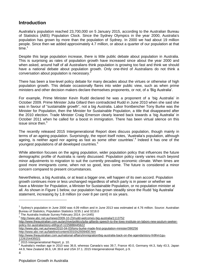## **Introduction**

Australia's population reached 23,700,000 on 5 January 2015, according to the Australian Bureau of Statistics (ABS) Population Clock. Since the Sydney Olympics in the year 2000, Australia's population has grown by more than the population of Sydney. In 2000 we had about 19 million people. Since then we added approximately 4.7 million, or about a quarter of our population at that time.<sup>1</sup>

Despite this large population increase, there is little public debate about population in Australia. This is surprising as rates of population growth have increased since about the year 2000 and when asked, around half of all Australians think population is growing too fast and think we should have a national debate about population growth. Only one-third of Australians do not think a conversation about population is necessary.<sup>2</sup>

There has been a low-level policy debate for many decades about the virtues or otherwise of high population growth. This debate occasionally flares into wider public view, such as when prime ministers and other decision makers declare themselves proponents, or not, of a 'Big Australia'.

For example, Prime Minister Kevin Rudd declared he was a proponent of a 'big Australia' in October 2009. Prime Minister Julia Gillard then contradicted Rudd in June 2010 when she said she was in favour of "sustainable growth", not a big Australia. Labor frontbencher Tony Burke was the Minister for Population, then the Minister for Sustainable Population, a title that disappeared after the 2010 election. Trade Minister Craig Emerson clearly leaned back towards a 'big Australia' in October 2011 when he called for a boost in immigration. There has been virtual silence on this issue since then. $3$ 

The recently released 2015 Intergenerational Report does discuss population, though mainly in terms of an ageing population. Surprisingly, the report itself notes, 'Australia's population, although ageing, is neither aged nor ageing as fast as some other countries'.<sup>4</sup> Indeed it has one of the youngest populations of all developed countries. 5

While attention focuses on the aging population, wider population policy that influences the future demographic profile of Australia is rarely discussed. Population policy rarely varies much beyond minor adjustments to migration to suit the currently prevailing economic climate. When times are good more immigrants come, when not so good, less come. The future is considered a minor concern compared to present circumstances.

Nevertheless, a big Australia, or at least a bigger one, will happen of its own accord. Population growth continues more or less unchanged regardless of which party is in power or whether we have a Minister for Population, a Minister for Sustainable Population, or no population minister at all. As shown in Figure 1 below, our population has grown steadily since the Rudd 'big Australia' statement, increasing by 1.8 million (or over 8 per cent) in six years.

The Australia Institute Survey February 2014. (n=1445)

<http://www.abc.net.au/news/2010-04-03/tony-burke-made-first-population-minister/390256>

<http://www.abc.net.au/lateline/content/2010/s2939400.htm>

4

<sup>1</sup> Sydney's population in June 2000 was 4.09 million and in June 2013 was estimated at 4.76 million. Source: Australian Bureau of Statistics, Population Statistics 3235.1 and 3218.0<br><sup>2</sup> The Augtralia Institute Sungy February 2014, (p-1445)

<sup>3</sup> <http://www.abc.net.au/news/2009-10-23/rudd-welcomes-big-australia/1113752>

http://www.theaustralian.com.au/archive/politics/julia-gillards-speech-to-the-lowy-institute-on-labors-new-asylum-seekerpolicy-for-australia/story-e6frgczf-1225888445622

http://www.theaustralian.com.au/national-affairs/immigration/big-australia-back-on-the-agenda/story-fn9hm1gu-1226154435021

<sup>4</sup> 2015 Intergenerational Report, p. 10.

<sup>5</sup> Australia's median age in 2010 was 36.8, whereas Canada's was 39.7, France 40.0, Germany 44.3, Italy 43.3, Japan 44.9, New Zealand 36.6, UK 39.8 and USA 37.1. 2015 Intergenerational Report, p 9.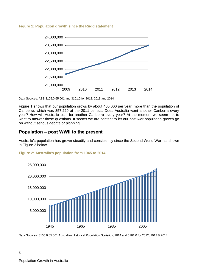#### **Figure 1: Population growth since the Rudd statement**



Data Sources: ABS 3105.0.65.001 and 3101.0 for 2012, 2013 and 2014.

Figure 1 shows that our population grows by about 400,000 per year, more than the population of Canberra, which was 357,220 at the 2011 census. Does Australia want another Canberra every year? How will Australia plan for another Canberra every year? At the moment we seem not to want to answer these questions. It seems we are content to let our post-war population growth go on without serious debate or planning.

## **Population – post WWII to the present**

Australia's population has grown steadily and consistently since the Second World War, as shown in Figure 2 below:

#### **Figure 2: Australia's population from 1945 to 2014**



Data Sources: 3105.0.65.001 Australian Historical Population Statistics, 2014 and 3101.0 for 2012, 2013 & 2014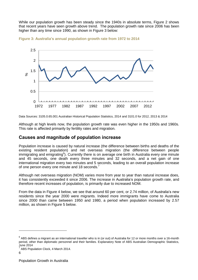While our population growth has been steady since the 1940s in absolute terms, Figure 2 shows that recent years have seen growth above trend. The population growth rate since 2006 has been higher than any time since 1990, as shown in Figure 3 below:





Data Sources: 3105.0.65.001 Australian Historical Population Statistics, 2014 and 3101.0 for 2012, 2013 & 2014

Although at high levels now, the population growth rate was even higher in the 1950s and 1960s. This rate is affected primarily by fertility rates and migration.

## **Causes and magnitude of population increase**

Population increase is caused by natural increase (the difference between births and deaths of the existing resident population) and net overseas migration (the difference between people immigrating and emigrating<sup>6</sup>). Currently there is on average one birth in Australia every one minute and 45 seconds, one death every three minutes and 32 seconds, and a net gain of one international migration every two minutes and 5 seconds, leading to an overall population increase of one person every one minute and 18 seconds.<sup>7</sup>

Although net overseas migration (NOM) varies more from year to year than natural increase does, it has consistently exceeded it since 2006. The increase in Australia's population growth rate, and therefore recent increases of population, is primarily due to increased NOM.

From the data in Figure 4 below, we see that around 60 per cent, or 2.74 million, of Australia's new residents since the year 2000 were migrants. Indeed more immigrants have come to Australia since 2000 than came between 1950 and 1980, a period when population increased by 2.57 million, as shown in Figure 5 below.

 $^6$  ABS defines a migrant as an international traveller who is in (or out) of Australia for 12 or more months over a 16-month period, other than diplomatic personnel and their families. Explanatory Note of ABS Australian Demographic Statistics, June 2014

<sup>7</sup> ABS Population Clock, 4 March 2014.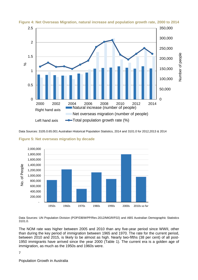

#### **Figure 4: Net Overseas Migration, natural increase and population growth rate, 2000 to 2014**

Data Sources: 3105.0.65.001 Australian Historical Population Statistics, 2014 and 3101.0 for 2012,2013 & 2014



**Figure 5: Net overseas migration by decade**

Data Sources: UN Population Division (POP/DB/WPP/Rev.2012/MIGR/F02) and ABS Australian Demographic Statistics 3101.0.

The NOM rate was higher between 2005 and 2010 than any five-year period since WWII, other than during the key period of immigration between 1965 and 1970. The rate for the current period, between 2010 and 2015, is likely to be almost as high. Nearly two-fifths (38 per cent) of all post-1950 immigrants have arrived since the year 2000 (Table 1). The current era is a golden age of immigration, as much as the 1950s and 1960s were.

#### 7

Population Growth in Australia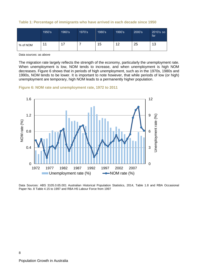|  | Table 1: Percentage of immigrants who have arrived in each decade since 1950 |  |  |  |
|--|------------------------------------------------------------------------------|--|--|--|
|  |                                                                              |  |  |  |

|          | 1950's | 1960's | 1970's | 1980's | 1990's | 2000's | 2010's so<br>far |
|----------|--------|--------|--------|--------|--------|--------|------------------|
| % of NOM |        | 17     |        | 15     | 12     | 25     | 13               |

Data sources: as above

The migration rate largely reflects the strength of the economy, particularly the unemployment rate. When unemployment is low, NOM tends to increase, and when unemployment is high NOM decreases. Figure 6 shows that in periods of high unemployment, such as in the 1970s, 1980s and 1990s, NOM tends to be lower. It is important to note however, that while periods of low (or high) unemployment are temporary, high NOM leads to a permanently higher population.





Data Sources: ABS 3105.0.65.001 Australian Historical Population Statistics, 2014, Table 1.8 and RBA Occasional Paper No. 8 Table 4.15 to 1997 and RBA H5 Labour Force from 1997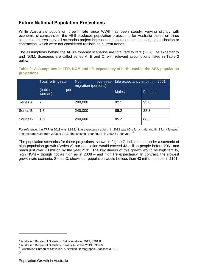## **Future National Population Projections**

While Australia's population growth rate since WWII has been steady, varying slightly with economic circumstances, the ABS produces population projections for Australia based on three scenarios. Interestingly, all scenarios project increases in population, as opposed to stabilisation or contraction, which were not considered realistic on current trends.

The assumptions behind the ABS's forecast scenarios are total fertility rate (TFR), life expectancy and NOM. Scenarios are called series A, B and C, with relevant assumptions listed in Table 2 below:

**Table 2: Assumptions in TFR, NOM and life expectancy at birth used in the ABS population projections**

|          | <b>Total fertility rate</b> | <b>Net</b><br>overseas<br>migration (persons) | Life expectancy at birth in 2061 |                |  |
|----------|-----------------------------|-----------------------------------------------|----------------------------------|----------------|--|
|          | (babies<br>per<br>woman)    |                                               | <b>Males</b>                     | <b>Females</b> |  |
| Series A | 2                           | 280,000                                       | 92.1                             | 93.6           |  |
| Series B | 1.8                         | 240,000                                       | 85.2                             | 88.3           |  |
| Series C | 1.6                         | 200,000                                       | 85.2                             | 88.3           |  |

For reference, the TFR in 2013 was 1.882.<sup>8</sup> Life expectancy at birth in 2013 was 80.1 for a male and 84.3 for a female.<sup>9</sup> The average NOM from 2008 to 2013 (the latest full year figure) is 235,45 7 per year.<sup>10</sup>

The population scenarios for these projections, shown in Figure 7, indicate that under a scenario of high population growth (Series A) our population would exceed 43 million people before 2061 and reach just over 70 million by the year 2101. The key drivers of this growth would be high fertility, high NOM – though not as high as in 2008 – and high life expectancy. In contrast, the slowest growth rate scenario, Series C, shows our population would be less than 43 million people in 2101.

<sup>8</sup> Australian Bureau of Statistics, Births Australia 2013, 3301.0

<sup>&</sup>lt;sup>9</sup> Australian Bureau of Statistics, Deaths Australia 2013, 3302.0

<sup>10</sup> Australian Bureau of Statistics, Australian Demographic Statistics 3101.0

<sup>9</sup>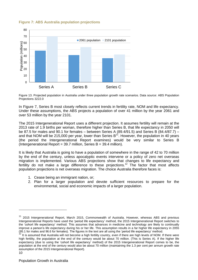#### **Figure 7: ABS Australia population projections**



Figure 13. Projected population in Australia under three population growth rate scenarios. Data source: ABS Population Projections 3222.0

In Figure 7, Series B most closely reflects current trends in fertility rate, NOM and life expectancy. Under these assumptions, the ABS projects a population of over 41 million by the year 2061 and over 53 million by the year 2101.

The 2015 Intergenerational Report uses a different projection. It assumes fertility will remain at the 2013 rate of 1.9 births per woman, therefore higher than Series B, that life expectancy in 2050 will be 87.5 for males and 90.1 for females – between Series A (89.4/91.5) and Series B (84.4/87.7) – and that NOM will be 215,000 per year, lower than Series B<sup>11</sup>. However, the population in 40 years (the period the Intergenerational Report examines) would be very similar to Series B (Intergenerational Report =  $39.7$  million, Series B =  $39.4$  million).

It is likely that Australia is going to have a population of somewhere in the range of 42 to 70 million by the end of the century, unless apocalyptic events intervene or a policy of zero net overseas migration is implemented. Various ABS projections show that changes to life expectancy and fertility do not make a large difference to these projections.<sup>12</sup> The factor that most affects population projections is net overseas migration. The choice Australia therefore faces is:

- 1. Cease being an immigrant nation, or;
- 2. Plan for a larger population and devote sufficient resources to prepare for the environmental, social and economic impacts of a larger population.

<sup>&</sup>lt;sup>11</sup> 2015 Intergenerational Report, March 2015, Commonwealth of Australia. However, whereas ABS and previous Intergenerational Reports have used the 'period life expectancy' method, the 2015 Intergenerational Report switches to the 'cohort life expectancy' method. This assumes that advances in medicine and technology are likely to continually improve a person's life expectancy during his or her life. This assumption results in a far higher life expectancy in 2055 (95.1 for males and 96.6 for females). The figures in the text are all using the 'period life expectancy' method.

<sup>10</sup> It is assumed that Australia will not become a high fertility country, even if there are high levels of NOM. If there were high fertility, the population at the end of the century would be about 70 million. (This is Series A). If the higher life expectancy (due to using the 'cohort life expectancy' method) of the 2015 Intergenerational Report comes to be, the population at the end of the century would also be about 70 million (maintaining the 1.3 per cent per annum growth rate assumption of the 2015 Intergenerational Report).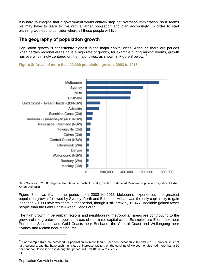It is hard to imagine that a government would entirely stop net overseas immigration, so it seems we may have to learn to live with a larger population and plan accordingly. In order to start planning we need to consider where all these people will live.

## **The geography of population growth**

Population growth is consistently highest in the major capital cities. Although there are periods when certain regional areas have a high rate of growth, for example during mining booms, growth has overwhelmingly centered on the major cities, as shown in Figure 8 below.<sup>13</sup>

**Figure 8: Areas of more than 20,000 population growth, 2003 to 2013**



Data Sources: 3218.0 Regional Population Growth, Australia, Table 1. Estimated Resident Population, Significant Urban Areas, Australia

Figure 8 shows that in the period from 2003 to 2013 Melbourne experienced the greatest population growth, followed by Sydney, Perth and Brisbane. Hobart was the only capital city to gain less than 20,000 new residents in that period, though it still grew by 16,477. Adelaide gained fewer people than the Gold Coast-Tweed Heads area.

The high growth in peri-urban regions and neighbouring metropolitan areas are contributing to the growth of the greater metropolitan areas of our major capital cities. Examples are Ellenbrook near Perth, the Sunshine and Gold Coasts near Brisbane, the Central Coast and Wollongong near Sydney and Melton near Melbourne.

 $\overline{a}$ 

<sup>11</sup> <sup>13</sup> For example Karatha increased its population by more than 50 per cent between 2003 and 2013. However, it is not just regional areas that have such high rates of increase, Melton, on the outskirts of Melbourne, also had more than a 50 per cent population increase during that period, with 19,185 new residents.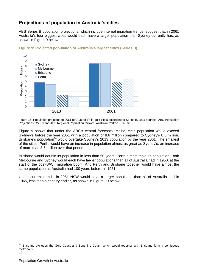## **Projections of population in Australia's cities**

ABS Series B population projections, which include internal migration trends, suggest that in 2061 Australia's four biggest cities would each have a larger population than Sydney currently has, as shown in Figure 9 below:



#### **Figure 9: Projected population of Australia's largest cities (Series B)**

Figure 16. Population projected to 2061 for Australia's largest cities according to Series B. Data sources: ABS Population Projections 3222.0 and ABS Regional Population Growth, Australia, 2012-13, 3218.0

Figure 9 shows that under the ABS's central forecasts, Melbourne's population would exceed Sydney's before the year 2061 with a population of 8.6 million compared to Sydney's 8.5 million. Brisbane's population<sup>14</sup> would overtake Sydney's 2013 population by the year 2061. The smallest of the cities, Perth, would have an increase in population almost as great as Sydney's, an increase of more than 3.5 million over that period.

Brisbane would double its population in less than 50 years, Perth almost triple its population. Both Melbourne and Sydney would each have larger populations than all of Australia had in 1950, at the start of the post-WWII migration boom. And Perth and Brisbane together would have almost the same population as Australia had 100 years before, in 1961.

Under current trends, in 2061 NSW would have a larger population than all of Australia had in 1965, less than a century earlier, as shown in Figure 10 below:

<sup>&</sup>lt;sup>14</sup> Brisbane excludes the Gold Coast and Sunshine Coast, which would together with Brisbane form a contiguous metropolis.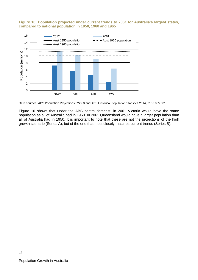#### **Figure 10: Population projected under current trends to 2061 for Australia's largest states, compared to national population in 1950, 1960 and 1965**



Data sources: ABS Population Projections 3222.0 and ABS Historical Population Statistics 2014, 3105.065.001

Figure 10 shows that under the ABS central forecast, in 2061 Victoria would have the same population as all of Australia had in 1960. In 2061 Queensland would have a larger population than all of Australia had in 1950. It is important to note that these are not the projections of the high growth scenario (Series A), but of the one that most closely matches current trends (Series B).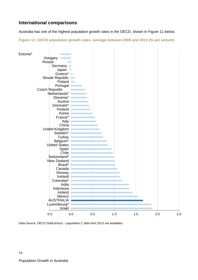## **International comparisons**

Australia has one of the highest population growth rates in the OECD, shown in Figure 11 below:

**Figure 11: OECD population growth rates, average between 2005 and 2013 (% per annum)**



Data Source: OECD StatExtracts – population (\* data from 2013 not available)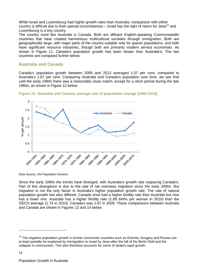While Israel and Luxembourg had higher growth rates than Australia, comparison with either country is difficult due to their special circumstances  $-$  Israel has the right of return for Jews<sup>15</sup> and Luxembourg is a tiny country.

The country most like Australia is Canada. Both are affluent English-speaking Commonwealth countries that have created harmonious multicultural societies through immigration. Both are geographically large, with major parts of the country suitable only for sparse populations, and both have significant resource industries, though both are primarily modern service economies. As shown in Figure 11, Canada's population growth has been slower than Australia's. The two countries are compared further below.

#### **Australia and Canada**

Canada's population growth between 2005 and 2013 averaged 1.07 per cent, compared to Australia's 1.67 per cent. Comparing Australia and Canada's population over time, we see that until the early 1990s there was a reasonably close match, except for a short period during the late 1960s, as shown in Figure 12 below.





Data Source: UN Population Division.

Since the early 1990s the trends have diverged, with Australia's growth rate outpacing Canada's. Part of this divergence is due to the rate of net overseas migration since the early 2000s. But migration is not the only factor in Australia's higher population growth rate. The rate of natural population growth has also differed. Canada once had a higher fertility rate than Australia but now has a lower one. Australia has a higher fertility rate (1.89 births per woman in 2010) than the OECD average (1.74 in 2010). Canada's was 1.67 in 2009. These comparisons between Australia and Canada are shown in Figures 13 and 14 below

<sup>&</sup>lt;sup>15</sup> The negative population growth in former communist countries such as Estonia. Hungary and Russia can at least partially be explained by immigration to Israel by Jews after the fall of the Berlin Wall and the collapse in communism. This also therefore accounts for some of Israel's rapid growth.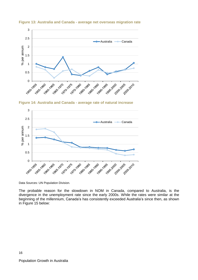

**Figure 13: Australia and Canada - average net overseas migration rate**

**Figure 14: Australia and Canada - average rate of natural increase**



Data Sources: UN Population Division.

The probable reason for the slowdown in NOM in Canada, compared to Australia, is the divergence in the unemployment rate since the early 2000s. While the rates were similar at the beginning of the millennium, Canada's has consistently exceeded Australia's since then, as shown in Figure 15 below:

16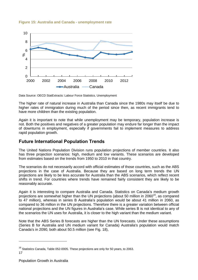

#### **Figure 15: Australia and Canada - unemployment rate**



The higher rate of natural increase in Australia than Canada since the 1980s may itself be due to higher rates of immigration during much of the period since then, as recent immigrants tend to have more children than the existing population.

Again it is important to note that while unemployment may be temporary, population increase is not. Both the positives and negatives of a greater population may endure far longer than the impact of downturns in employment, especially if governments fail to implement measures to address rapid population growth.

## **Future International Population Trends**

The United Nations Population Division runs population projections of member countries. It also has three projection scenarios: high, medium and low variants. These scenarios are developed from estimates based on the trends from 1950 to 2010 in that country.

The scenarios do not necessarily accord with official estimates of those countries, such as the ABS projections in the case of Australia. Because they are based on long term trends the UN projections are likely to be less accurate for Australia than the ABS scenarios, which reflect recent shifts in trend. For countries where trends have remained fairly consistent they are likely to be reasonably accurate.

Again it is interesting to compare Australia and Canada. Statistics on Canada's medium growth projections are somewhat higher than the UN projections (about 50 million in 2060<sup>16</sup>, as compared to 47 million), whereas in series B Australia's population would be about 41 million in 2060, as compared to 36 million in the UN projections. Therefore there is a greater variation between official national projections and the UN figures in Australia's case. While series B is not identical to any of the scenarios the UN uses for Australia, it is closer to the high variant than the medium variant.

Note that the ABS Series B forecasts are higher than the UN forecasts. Under these assumptions (Series B for Australia and UN medium variant for Canada) Australia's population would match Canada's in 2090, both about 50.5 million (see Fig. 18),

<sup>17</sup>  $16$  Statistics Canada, Table 052-0005. These projections are only for 50 years, to 2063.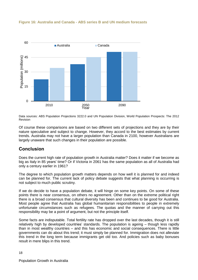

#### **Figure 16: Australia and Canada - ABS series B and UN medium forecasts**

Data sources: ABS Population Projections 3222.0 and UN Population Division, World Population Prospects: The 2012 Revision

Of course these comparisons are based on two different sets of projections and they are by their nature speculative and subject to change. However, they accord to the best estimates by current trends. Australia may not have a larger population than Canada in 2100, however Australians are largely unaware that such changes in their population are possible.

## **Conclusion**

Does the current high rate of population growth in Australia matter? Does it matter if we become as big as Italy in 85 years' time? Or if Victoria in 2061 has the same population as all of Australia had only a century earlier in 1961?

The degree to which population growth matters depends on how well it is planned for and indeed can be planned for. The current lack of policy debate suggests that what planning is occurring is not subject to much public scrutiny.

If we do decide to have a population debate, it will hinge on some key points. On some of these points there is near consensus, on others no agreement. Other than on the extreme political right there is a broad consensus that cultural diversity has been and continues to be good for Australia. Most people agree that Australia has global humanitarian responsibilities to people in extremely unfortunate circumstances such as refugees. The quotas and the manner of carrying out this responsibility may be a point of argument, but not the principle itself.

Some facts are indisputable. Total fertility rate has dropped over the last decades, though it is still relatively high by developed countries' standards. The population is ageing – though less rapidly than in most wealthy countries – and this has economic and social consequences. There is little governments can do about this trend; it must simply be planned for. Immigration does not alleviate this trend in the long term because immigrants get old too. And policies such as baby bonuses result in mere blips in this trend.

18

Population Growth in Australia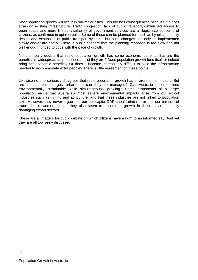Most population growth will occur in our major cities. This too has consequences because it places strain on existing infrastructure. Traffic congestion, lack of public transport, diminished access to open space and more limited availability of government services are all legitimate concerns of citizens, as confirmed in opinion polls. Some of these can be planned for, such as by urban density design and expansion of public transport systems, but such changes can only be implemented slowly and/or are costly. There is public concern that the planning response is too slow and not well enough funded to cope with the pace of growth.

No one really doubts that rapid population growth has some economic benefits. But are the benefits as widespread as proponents insist they are? Does population growth fund itself or indeed bring net economic benefits? Or does it become increasingly difficult to build the infrastructure needed to accommodate extra people? There is little agreement on these points.

Likewise no one seriously disagrees that rapid population growth has environmental impacts. But are these impacts largely urban and can they be managed? Can Australia become more environmentally sustainable while simultaneously growing? Some proponents of a larger population argue that Australia's most severe environmental impacts arise from our export industries such as mining and agriculture, and that these industries are not linked to population size. However, they never argue that our per capita GDP should diminish or that our balance of trade should worsen, hence they also seem to assume a growth in these environmentally damaging export sectors.

These are all matters for public debate on which citizens have a right to an informed say. And yet they are all too rarely discussed.